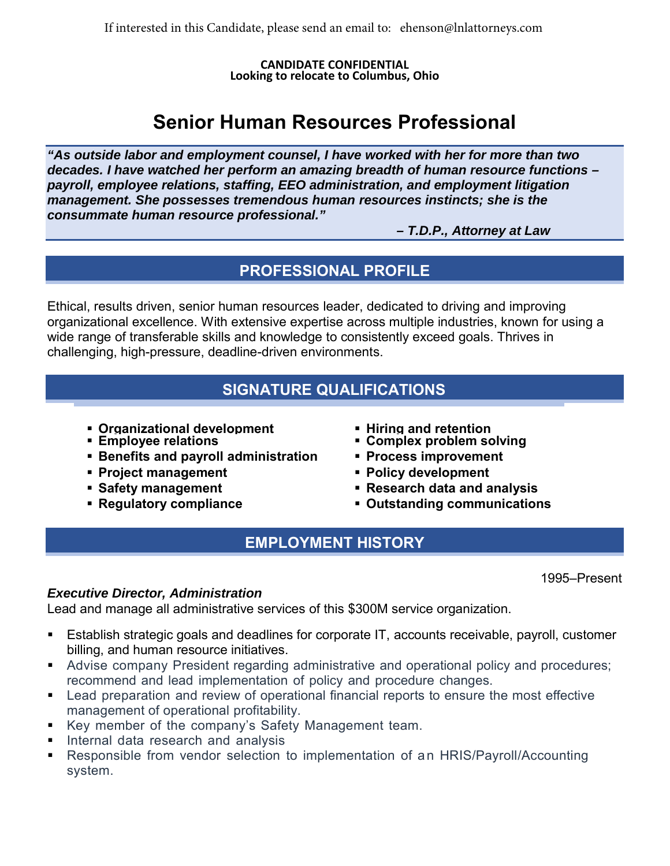**CANDIDATE CONFIDENTIAL Looking to relocate to Columbus, Ohio** 

# **Senior Human Resources Professional**

*"As outside labor and employment counsel, I have worked with her for more than two decades. I have watched her perform an amazing breadth of human resource functions – payroll, employee relations, staffing, EEO administration, and employment litigation management. She possesses tremendous human resources instincts; she is the consummate human resource professional."*

*– T.D.P., Attorney at Law*

## **PROFESSIONAL PROFILE**

Ethical, results driven, senior human resources leader, dedicated to driving and improving organizational excellence. With extensive expertise across multiple industries, known for using a wide range of transferable skills and knowledge to consistently exceed goals. Thrives in challenging, high-pressure, deadline-driven environments.

#### **SIGNATURE QUALIFICATIONS**

- **Organizational development Hiring and retention Employee relations Complex problem solving**
- 
- **Benefits and payroll administration Process improvement**
- **Project management Policy development**
- 
- 
- 
- 
- 
- 
- **Safety management Research data and analysis**
- **Regulatory compliance** *i* **Dutstanding communications**

## **EMPLOYMENT HISTORY**

1995–Present

#### *Executive Director, Administration*

Lead and manage all administrative services of this \$300M service organization.

- Establish strategic goals and deadlines for corporate IT, accounts receivable, payroll, customer billing, and human resource initiatives.
- Advise company President regarding administrative and operational policy and procedures; recommend and lead implementation of policy and procedure changes.
- **EXECT** Lead preparation and review of operational financial reports to ensure the most effective management of operational profitability.
- Key member of the company's Safety Management team.
- **Internal data research and analysis**
- Responsible from vendor selection to implementation of an HRIS/Payroll/Accounting system.